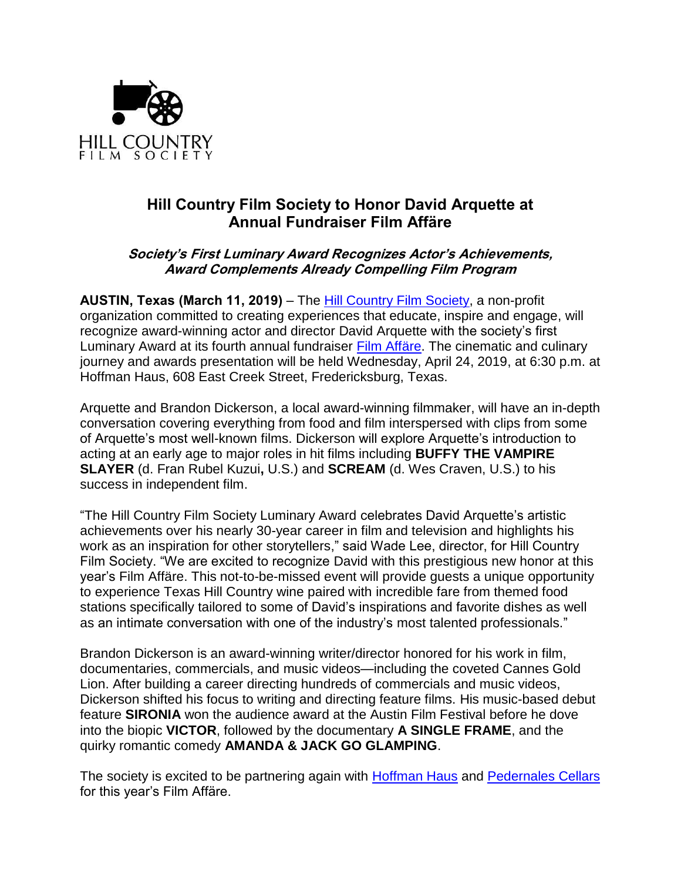

# **Hill Country Film Society to Honor David Arquette at Annual Fundraiser Film Affäre**

# **Society's First Luminary Award Recognizes Actor's Achievements, Award Complements Already Compelling Film Program**

**AUSTIN, Texas (March 11, 2019)** – The [Hill Country Film Society,](http://www.hillcountryff.com/film-society/) a non-profit organization committed to creating experiences that educate, inspire and engage, will recognize award-winning actor and director David Arquette with the society's first Luminary Award at its fourth annual fundraiser [Film Affäre.](http://www.hillcountryff.com/film-affare/) The cinematic and culinary journey and awards presentation will be held Wednesday, April 24, 2019, at 6:30 p.m. at Hoffman Haus, 608 East Creek Street, Fredericksburg, Texas.

Arquette and Brandon Dickerson, a local award-winning filmmaker, will have an in-depth conversation covering everything from food and film interspersed with clips from some of Arquette's most well-known films. Dickerson will explore Arquette's introduction to acting at an early age to major roles in hit films including **BUFFY THE VAMPIRE SLAYER** (d. Fran Rubel Kuzui**,** U.S.) and **SCREAM** (d. Wes Craven, U.S.) to his success in independent film.

"The Hill Country Film Society Luminary Award celebrates David Arquette's artistic achievements over his nearly 30-year career in film and television and highlights his work as an inspiration for other storytellers," said Wade Lee, director, for Hill Country Film Society. "We are excited to recognize David with this prestigious new honor at this year's Film Affäre. This not-to-be-missed event will provide guests a unique opportunity to experience Texas Hill Country wine paired with incredible fare from themed food stations specifically tailored to some of David's inspirations and favorite dishes as well as an intimate conversation with one of the industry's most talented professionals."

Brandon Dickerson is an award-winning writer/director honored for his work in film, documentaries, commercials, and music videos—including the coveted Cannes Gold Lion. After building a career directing hundreds of commercials and music videos, Dickerson shifted his focus to writing and directing feature films. His music-based debut feature **SIRONIA** won the audience award at the Austin Film Festival before he dove into the biopic **VICTOR**, followed by the documentary **A SINGLE FRAME**, and the quirky romantic comedy **AMANDA & JACK GO GLAMPING**.

The society is excited to be partnering again with **Hoffman Haus** and [Pedernales Cellars](http://pedernalescellars.com/) for this year's Film Affäre.